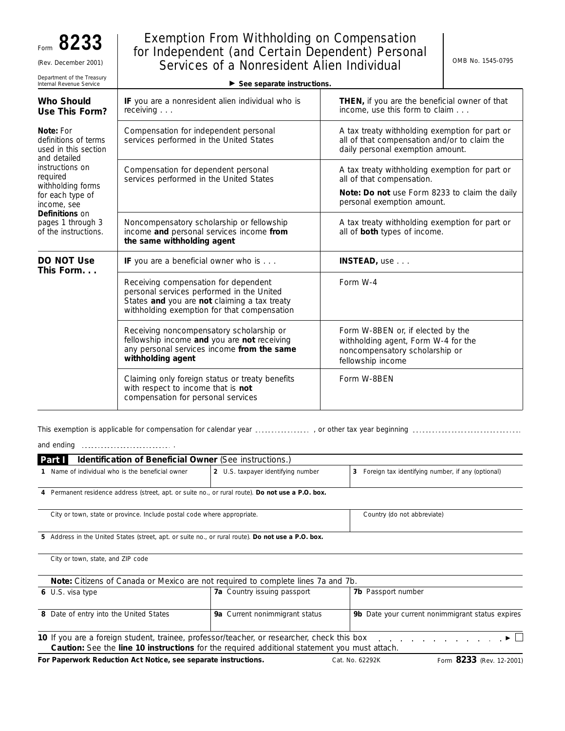## Exemption From Withholding on Compensation for Independent (and Certain Dependent) Personal (Rev. December 2001)  $\begin{array}{|c|c|c|c|c|c|}\n\hline\n\text{Server} & \text{Server} & \text{Server} \end{array}$

| Department of the Treasury<br>Internal Revenue Service                    | $\triangleright$ See separate instructions.                                                                                                                                      |                                                                                                                                    |
|---------------------------------------------------------------------------|----------------------------------------------------------------------------------------------------------------------------------------------------------------------------------|------------------------------------------------------------------------------------------------------------------------------------|
| <b>Who Should</b><br>Use This Form?                                       | IF you are a nonresident alien individual who is<br>receiving $\ldots$                                                                                                           | THEN, if you are the beneficial owner of that<br>income, use this form to claim                                                    |
| Note: For<br>definitions of terms<br>used in this section<br>and detailed | Compensation for independent personal<br>services performed in the United States                                                                                                 | A tax treaty withholding exemption for part or<br>all of that compensation and/or to claim the<br>daily personal exemption amount. |
| <i>instructions on</i><br>required                                        | Compensation for dependent personal<br>services performed in the United States                                                                                                   | A tax treaty withholding exemption for part or<br>all of that compensation.                                                        |
| withholding forms<br>for each type of<br>income, see                      |                                                                                                                                                                                  | Note: Do not use Form 8233 to claim the daily<br>personal exemption amount.                                                        |
| <b>Definitions</b> on<br>pages 1 through 3<br>of the instructions.        | Noncompensatory scholarship or fellowship<br>income and personal services income from<br>the same withholding agent                                                              | A tax treaty withholding exemption for part or<br>all of both types of income.                                                     |
| DO NOT Use<br>This Form                                                   | IF you are a beneficial owner who is                                                                                                                                             | INSTEAD, use                                                                                                                       |
|                                                                           | Receiving compensation for dependent<br>personal services performed in the United<br>States and you are not claiming a tax treaty<br>withholding exemption for that compensation | Form W-4                                                                                                                           |
|                                                                           | Receiving noncompensatory scholarship or<br>fellowship income and you are not receiving<br>any personal services income from the same<br>withholding agent                       | Form W-8BEN or, if elected by the<br>withholding agent, Form W-4 for the<br>noncompensatory scholarship or<br>fellowship income    |
|                                                                           | Claiming only foreign status or treaty benefits<br>with respect to income that is not<br>compensation for personal services                                                      | Form W-8BEN                                                                                                                        |

This exemption is applicable for compensation for calendar year , or other tax year beginning

and ending **...........................**...

| <b>Identification of Beneficial Owner (See instructions.)</b><br>Part I                              |                                       |                                                        |  |
|------------------------------------------------------------------------------------------------------|---------------------------------------|--------------------------------------------------------|--|
| Name of individual who is the beneficial owner                                                       | U.S. taxpayer identifying number<br>2 | Foreign tax identifying number, if any (optional)<br>3 |  |
| Permanent residence address (street, apt. or suite no., or rural route). Do not use a P.O. box.<br>4 |                                       |                                                        |  |
| City or town, state or province. Include postal code where appropriate.                              |                                       | Country (do not abbreviate)                            |  |
| 5 Address in the United States (street, apt. or suite no., or rural route). Do not use a P.O. box.   |                                       |                                                        |  |
| City or town, state, and ZIP code                                                                    |                                       |                                                        |  |

| Note: Citizens of Canada or Mexico are not required to complete lines 7a and 7b.                                          |                                |                                                  |  |  |
|---------------------------------------------------------------------------------------------------------------------------|--------------------------------|--------------------------------------------------|--|--|
| 6 U.S. visa type                                                                                                          | 7a Country issuing passport    | <b>7b</b> Passport number                        |  |  |
|                                                                                                                           |                                |                                                  |  |  |
| 8 Date of entry into the United States                                                                                    | 9a Current nonimmigrant status | 9b Date your current nonimmigrant status expires |  |  |
|                                                                                                                           |                                |                                                  |  |  |
| 10 If you are a foreign student, trainee, professor/teacher, or researcher, check this box $\ldots$ , $\ldots$ , $\vdots$ |                                |                                                  |  |  |
| Caution: See the line 10 instructions for the required additional statement you must attach.                              |                                |                                                  |  |  |

For Paperwork Reduction Act Notice, see separate instructions. Cat. No. 62292K Form 8233 (Rev. 12-2001)